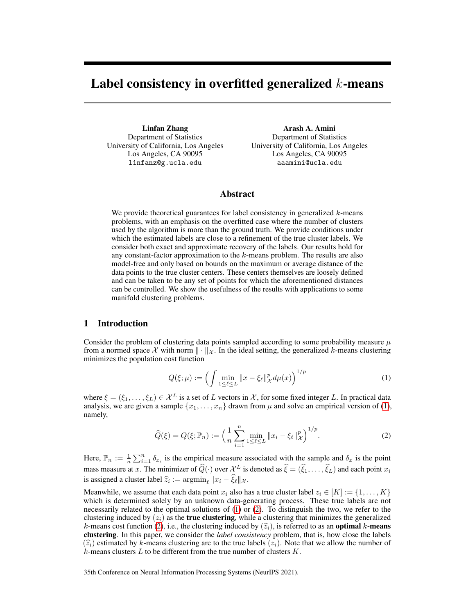# Label consistency in overfitted generalized  $k$ -means

Linfan Zhang Department of Statistics University of California, Los Angeles Los Angeles, CA 90095 linfanz@g.ucla.edu

Arash A. Amini Department of Statistics University of California, Los Angeles Los Angeles, CA 90095 aaamini@ucla.edu

## Abstract

We provide theoretical guarantees for label consistency in generalized  $k$ -means problems, with an emphasis on the overfitted case where the number of clusters used by the algorithm is more than the ground truth. We provide conditions under which the estimated labels are close to a refinement of the true cluster labels. We consider both exact and approximate recovery of the labels. Our results hold for any constant-factor approximation to the  $k$ -means problem. The results are also model-free and only based on bounds on the maximum or average distance of the data points to the true cluster centers. These centers themselves are loosely defined and can be taken to be any set of points for which the aforementioned distances can be controlled. We show the usefulness of the results with applications to some manifold clustering problems.

## <span id="page-0-2"></span>1 Introduction

Consider the problem of clustering data points sampled according to some probability measure  $\mu$ from a normed space X with norm  $\|\cdot\|_{\mathcal{X}}$ . In the ideal setting, the generalized k-means clustering minimizes the population cost function

<span id="page-0-1"></span><span id="page-0-0"></span>
$$
Q(\xi; \mu) := \left( \int \min_{1 \le \ell \le L} \|x - \xi_{\ell}\|_{\mathcal{X}}^p d\mu(x) \right)^{1/p} \tag{1}
$$

where  $\xi = (\xi_1, \dots, \xi_L) \in \mathcal{X}^L$  is a set of L vectors in X, for some fixed integer L. In practical data analysis, we are given a sample  $\{x_1, \ldots, x_n\}$  drawn from  $\mu$  and solve an empirical version of [\(1\)](#page-0-0), namely,

$$
\widehat{Q}(\xi) = Q(\xi; \mathbb{P}_n) := \left(\frac{1}{n} \sum_{i=1}^n \min_{1 \le \ell \le L} \|x_i - \xi_\ell\|_{\mathcal{X}}^p\right)^{1/p}.\tag{2}
$$

Here,  $\mathbb{P}_n := \frac{1}{n} \sum_{i=1}^n \delta_{x_i}$  is the empirical measure associated with the sample and  $\delta_x$  is the point mass measure at x. The minimizer of  $\widehat{Q}(\cdot)$  over  $\mathcal{X}^L$  is denoted as  $\widehat{\xi} = (\widehat{\xi}_1, \dots, \widehat{\xi}_L)$  and each point  $x_i$ is assigned a cluster label  $\hat{z}_i := \operatorname{argmin}_{\ell} ||x_i - \xi_{\ell}||_{\mathcal{X}}$ .

Meanwhile, we assume that each data point  $x_i$  also has a true cluster label  $z_i \in [K] := \{1, \ldots, K\}$ which is determined solely by an unknown data-generating process. These true labels are not necessarily related to the optimal solutions of [\(1\)](#page-0-0) or [\(2\)](#page-0-1). To distinguish the two, we refer to the clustering induced by  $(z<sub>i</sub>)$  as the **true clustering**, while a clustering that minimizes the generalized k-means cost function [\(2\)](#page-0-1), i.e., the clustering induced by  $(\hat{z}_i)$ , is referred to as an **optimal** k-means clustering. In this paper, we consider the *label consistency* problem, that is, how close the labels  $(\hat{z}_i)$  estimated by k-means clustering are to the true labels  $(z_i)$ . Note that we allow the number of  $k$ -means clusters  $L$  to be different from the true number of clusters  $K$ .

35th Conference on Neural Information Processing Systems (NeurIPS 2021).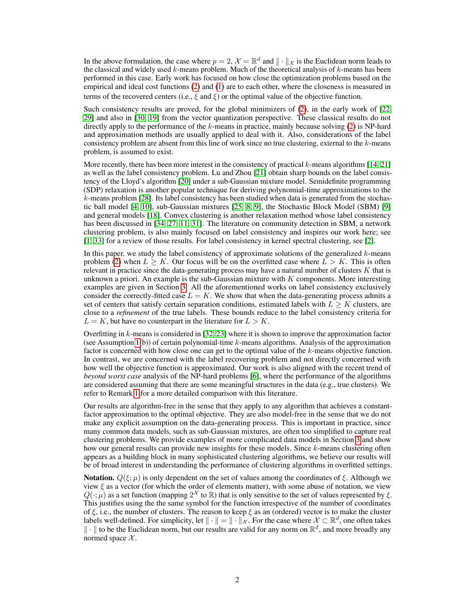In the above formulation, the case where  $p = 2$ ,  $\mathcal{X} = \mathbb{R}^d$  and  $\|\cdot\|_{\mathcal{X}}$  is the Euclidean norm leads to the classical and widely used  $k$ -means problem. Much of the theoretical analysis of  $k$ -means has been performed in this case. Early work has focused on how close the optimization problems based on the empirical and ideal cost functions [\(2\)](#page-0-1) and [\(1\)](#page-0-0) are to each other, where the closeness is measured in terms of the recovered centers (i.e.,  $\xi$  and  $\xi$ ) or the optimal value of the objective function.

Such consistency results are proved, for the global minimizers of [\(2\)](#page-0-1), in the early work of [\[22,](#page-11-0) [29\]](#page-11-1) and also in [\[30,](#page-11-2) [19\]](#page-10-0) from the vector quantization perspective. These classical results do not directly apply to the performance of the  $k$ -means in practice, mainly because solving [\(2\)](#page-0-1) is NP-hard and approximation methods are usually applied to deal with it. Also, considerations of the label consistency problem are absent from this line of work since no true clustering, external to the  $k$ -means problem, is assumed to exist.

More recently, there has been more interest in the consistency of practical  $k$ -means algorithms [\[14,](#page-10-1) [21\]](#page-11-3) as well as the label consistency problem. Lu and Zhou [\[21\]](#page-11-3) obtain sharp bounds on the label consistency of the Lloyd's algorithm [\[20\]](#page-11-4) under a sub-Gaussian mixture model. Semidefinite programming (SDP) relaxation is another popular technique for deriving polynomial-time approximations to the k-means problem [\[28\]](#page-11-5). Its label consistency has been studied when data is generated from the stochastic ball model [\[4,](#page-10-2) [10\]](#page-10-3), sub-Gaussian mixtures [\[25,](#page-11-6) [8,](#page-10-4) [9\]](#page-10-5), the Stochastic Block Model (SBM) [\[9\]](#page-10-5) and general models [\[18\]](#page-10-6). Convex clustering is another relaxation method whose label consistency has been discussed in [\[34,](#page-11-7) [27,](#page-11-8) [11,](#page-10-7) [31\]](#page-11-9). The literature on community detection in SBM, a network clustering problem, is also mainly focused on label consistency and inspires our work here; see [\[1,](#page-10-8) [33\]](#page-11-10) for a review of those results. For label consistency in kernel spectral clustering, see [\[2\]](#page-10-9).

In this paper, we study the label consistency of approximate solutions of the generalized  $k$ -means problem [\(2\)](#page-0-1) when  $L > K$ . Our focus will be on the overfitted case where  $L > K$ . This is often relevant in practice since the data-generating process may have a natural number of clusters  $K$  that is unknown a priori. An example is the sub-Gaussian mixture with  $K$  components. More interesting examples are given in Section [3.](#page-5-0) All the aforementioned works on label consistency exclusively consider the correctly-fitted case  $L = K$ . We show that when the data-generating process admits a set of centers that satisfy certain separation conditions, estimated labels with  $L \geq K$  clusters, are close to a *refinement* of the true labels. These bounds reduce to the label consistency criteria for  $L = K$ , but have no counterpart in the literature for  $L > K$ .

Overfitting in k-means is considered in [\[32,](#page-11-11) [23\]](#page-11-12) where it is shown to improve the approximation factor (see Assumption  $1(b)$ ) of certain polynomial-time k-means algorithms. Analysis of the approximation factor is concerned with how close one can get to the optimal value of the k-means objective function. In contrast, we are concerned with the label recovering problem and not directly concerned with how well the objective function is approximated. Our work is also aligned with the recent trend of *beyond worst case* analysis of the NP-hard problems [\[6\]](#page-10-10), where the performance of the algorithms are considered assuming that there are some meaningful structures in the data (e.g., true clusters). We refer to Remark [1](#page-4-0) for a more detailed comparison with this literature.

Our results are algorithm-free in the sense that they apply to any algorithm that achieves a constantfactor approximation to the optimal objective. They are also model-free in the sense that we do not make any explicit assumption on the data-generating process. This is important in practice, since many common data models, such as sub-Gaussian mixtures, are often too simplified to capture real clustering problems. We provide examples of more complicated data models in Section [3](#page-5-0) and show how our general results can provide new insights for these models. Since k-means clustering often appears as a building block in many sophisticated clustering algorithms, we believe our results will be of broad interest in understanding the performance of clustering algorithms in overfitted settings.

**Notation.**  $Q(\xi; \mu)$  is only dependent on the set of values among the coordinates of  $\xi$ . Although we view  $\xi$  as a vector (for which the order of elements matter), with some abuse of notation, we view  $Q(\cdot;\mu)$  as a set function (mapping  $2^{\mathcal{X}}$  to  $\mathbb{R}$ ) that is only sensitive to the set of values represented by  $\xi$ . This justifies using the the same symbol for the function irrespective of the number of coordinates of  $\xi$ , i.e., the number of clusters. The reason to keep  $\xi$  as an (ordered) vector is to make the cluster labels well-defined. For simplicity, let  $\|\cdot\| = \|\cdot\|_{\mathcal{X}}$ . For the case where  $\mathcal{X} \subset \mathbb{R}^d$ , one often takes  $\|\cdot\|$  to be the Euclidean norm, but our results are valid for any norm on  $\mathbb{R}^d$ , and more broadly any normed space  $X$ .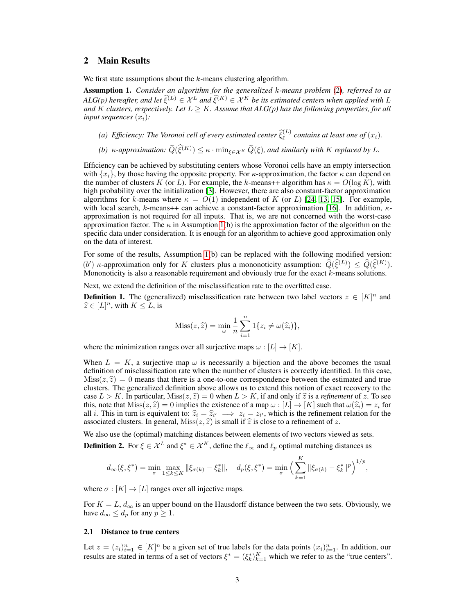## 2 Main Results

We first state assumptions about the  $k$ -means clustering algorithm.

<span id="page-2-0"></span>Assumption 1. *Consider an algorithm for the generalized* k*-means problem* [\(2\)](#page-0-1)*, referred to as ALG(p)* hereafter, and let  $\hat{\xi}^{(L)} \in \mathcal{X}^L$  and  $\hat{\xi}^{(K)} \in \mathcal{X}^K$  be its estimated centers when applied with L and  $\overline{K}$  *clusters, respectively. Let*  $L \geq K$ *. Assume that ALG(p) has the following properties, for all input sequences*  $(x_i)$ *:* 

- (a) Efficiency: The Voronoi cell of every estimated center  $\hat{\xi}_{\ell}^{(L)}$  contains at least one of  $(x_i)$ .
- *(b)*  $\kappa$ -approximation:  $\widehat{Q}(\widehat{\xi}^{(K)}) \leq \kappa \cdot \min_{\xi \in \mathcal{X}^K} \widehat{Q}(\xi)$ , and similarly with K replaced by L.

Efficiency can be achieved by substituting centers whose Voronoi cells have an empty intersection with  ${x_i}$ , by those having the opposite property. For  $\kappa$ -approximation, the factor  $\kappa$  can depend on the number of clusters K (or L). For example, the k-means++ algorithm has  $\kappa = O(\log K)$ , with high probability over the initialization [\[3\]](#page-10-11). However, there are also constant-factor approximation algorithms for k-means where  $\kappa = O(1)$  independent of K (or L) [\[24,](#page-11-13) [13,](#page-10-12) [15\]](#page-10-13). For example, with local search, k-means++ can achieve a constant-factor approximation [\[16\]](#page-10-14). In addition,  $\kappa$ approximation is not required for all inputs. That is, we are not concerned with the worst-case approximation factor. The  $\kappa$  in Assumption [1\(](#page-2-0)b) is the approximation factor of the algorithm on the specific data under consideration. It is enough for an algorithm to achieve good approximation only on the data of interest.

For some of the results, Assumption [1\(](#page-2-0)b) can be replaced with the following modified version: (b) κ-approximation only for K clusters plus a mononoticity assumption:  $\hat{Q}(\hat{\xi}^{(L)}) \leq \hat{Q}(\hat{\xi}^{(K)})$ . Mononoticity is also a reasonable requirement and obviously true for the exact k-means solutions.

Next, we extend the definition of the misclassification rate to the overfitted case.

<span id="page-2-1"></span>**Definition 1.** The (generalized) misclassification rate between two label vectors  $z \in [K]^n$  and  $\widehat{z} \in [L]^n$ , with  $K \leq L$ , is

$$
Miss(z, \hat{z}) = \min_{\omega} \frac{1}{n} \sum_{i=1}^{n} 1\{z_i \neq \omega(\hat{z}_i)\},
$$

where the minimization ranges over all surjective maps  $\omega : [L] \to [K]$ .

When  $L = K$ , a surjective map  $\omega$  is necessarily a bijection and the above becomes the usual definition of misclassification rate when the number of clusters is correctly identified. In this case,  $Miss(z, \hat{z}) = 0$  means that there is a one-to-one correspondence between the estimated and true clusters. The generalized definition above allows us to extend this notion of exact recovery to the case  $L > K$ . In particular,  $Miss(z, \hat{z}) = 0$  when  $L > K$ , if and only if  $\hat{z}$  is a *refinement* of z. To see this, note that  $Miss(z, \hat{z}) = 0$  implies the existence of a map  $\omega : [L] \to [K]$  such that  $\omega(\hat{z}_i) = z_i$  for all *i*. This in turn is equivalent to:  $\hat{z}_i = \hat{z}_{i'} \implies z_i = z_{i'}$ , which is the refinement relation for the associated clusters. In general Miss $(z, \hat{z})$  is small if  $\hat{z}$  is close to a refinement of  $z$ . associated clusters. In general,  $Miss(z, \hat{z})$  is small if  $\hat{z}$  is close to a refinement of z.

We also use the (optimal) matching distances between elements of two vectors viewed as sets. **Definition 2.** For  $\xi \in \mathcal{X}^L$  and  $\xi^* \in \mathcal{X}^K$ , define the  $\ell_\infty$  and  $\ell_p$  optimal matching distances as

$$
d_{\infty}(\xi, \xi^*) = \min_{\sigma} \max_{1 \le k \le K} \|\xi_{\sigma(k)} - \xi^*_k\|, \quad d_p(\xi, \xi^*) = \min_{\sigma} \Big( \sum_{k=1}^K \|\xi_{\sigma(k)} - \xi^*_k\|^p \Big)^{1/p},
$$

where  $\sigma : [K] \to [L]$  ranges over all injective maps.

For  $K = L, d_{\infty}$  is an upper bound on the Hausdorff distance between the two sets. Obviously, we have  $d_{\infty} \leq d_p$  for any  $p \geq 1$ .

#### 2.1 Distance to true centers

Let  $z = (z_i)_{i=1}^n \in [K]^n$  be a given set of true labels for the data points  $(x_i)_{i=1}^n$ . In addition, our results are stated in terms of a set of vectors  $\xi^* = (\xi_k^*)_{k=1}^K$  which we refer to as the "true centers".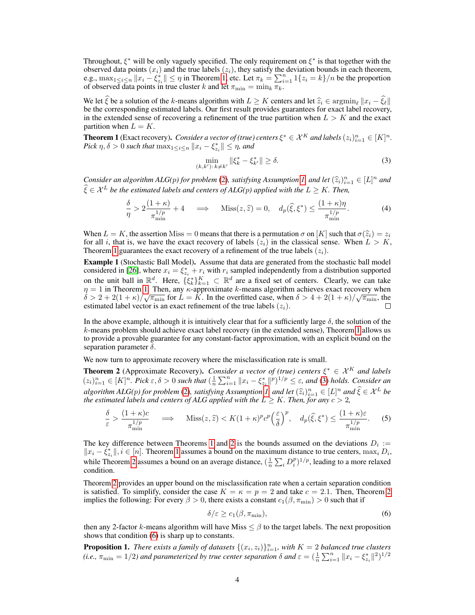Throughout,  $\xi^*$  will be only vaguely specified. The only requirement on  $\xi^*$  is that together with the observed data points  $(x_i)$  and the true labels  $(z_i)$ , they satisfy the deviation bounds in each theorem, e.g.,  $\max_{1 \leq i \leq n} ||x_i - \xi_{z_i}^*|| \leq \eta$  in Theorem [1,](#page-3-0) etc. Let  $\pi_k = \sum_{i=1}^n 1\{z_i = k\}/n$  be the proportion of observed data points in true cluster k and let  $\pi_{\min} = \min_k \pi_k$ .

We let  $\xi$  be a solution of the k-means algorithm with  $L \geq K$  centers and let  $\hat{z}_i \in \argmin_{\ell} ||x_i - \hat{\xi}_{\ell}||$ be the corresponding estimated labels. Our first result provides guarantees for exact label recovery, in the extended sense of recovering a refinement of the true partition when  $L > K$  and the exact partition when  $L = K$ .

<span id="page-3-0"></span>**Theorem 1** (Exact recovery). *Consider a vector of (true) centers*  $\xi^* \in \mathcal{X}^K$  *and labels*  $(z_i)_{i=1}^n \in [K]^n$ . *Pick*  $\eta, \delta > 0$  such that  $\max_{1 \leq i \leq n} ||x_i - \xi_{z_i}^*|| \leq \eta$ , and

<span id="page-3-5"></span><span id="page-3-1"></span>
$$
\min_{(k,k'):\,k \neq k'} \|\xi_k^* - \xi_{k'}^*\| \ge \delta. \tag{3}
$$

*Consider an algorithm ALG(p) for problem* [\(2\)](#page-0-1)*, satisfying Assumption [1,](#page-2-0) and let*  $(\hat{z}_i)_{i=1}^n \in [L]^n$  *and*<br> $\hat{z} \in \mathcal{X}_i$ , the the estimated labels and contenus of ALG(n) multiplayed that  $I \geq K$ . Then  $\widehat{\xi} \in \mathcal{X}^L$  be the estimated labels and centers of ALG(p) applied with the  $L \geq K$ . Then,

$$
\frac{\delta}{\eta} > 2 \frac{(1+\kappa)}{\pi_{\min}^{1/p}} + 4 \quad \implies \quad \text{Miss}(z,\hat{z}) = 0, \quad d_p(\hat{\xi}, \xi^*) \le \frac{(1+\kappa)\eta}{\pi_{\min}^{1/p}}.
$$
 (4)

When  $L = K$ , the assertion Miss = 0 means that there is a permutation  $\sigma$  on [K] such that  $\sigma(\hat{z}_i) = z_i$ for all i, that is, we have the exact recovery of labels  $(z_i)$  in the classical sense. When  $L > K$ , Theorem [1](#page-3-0) guarantees the exact recovery of a refinement of the true labels  $(z_i)$ .

Example 1 (Stochastic Ball Model). Assume that data are generated from the stochastic ball model considered in [\[26\]](#page-11-14), where  $x_i = \xi_{z_i}^* + r_i$  with  $r_i$  sampled independently from a distribution supported on the unit ball in  $\mathbb{R}^d$ . Here,  $\{\xi_k^*\}_{k=1}^K \subset \mathbb{R}^d$  are a fixed set of centers. Clearly, we can take  $\eta = 1$  in Theorem [1.](#page-3-0) Then, any  $\kappa$ -approximate  $k$ -means algorithm achieves exact recovery when  $\delta > 2 + 2(1 + \kappa)/\sqrt{\pi_{\min}}$  for  $L = K$ . In the overfitted case, when  $\delta > 4 + 2(1 + \kappa)/\sqrt{\pi_{\min}}$ , the estimated label vector is an exact refinement of the true labels  $(z_i)$ .

In the above example, although it is intuitively clear that for a sufficiently large  $\delta$ , the solution of the k-means problem should achieve exact label recovery (in the extended sense), Theorem [1](#page-3-0) allows us to provide a provable guarantee for any constant-factor approximation, with an explicit bound on the separation parameter  $\delta$ .

We now turn to approximate recovery where the misclassification rate is small.

<span id="page-3-2"></span>**Theorem 2** (Approximate Recovery). *Consider a vector of (true) centers*  $\xi^* \in \mathcal{X}^K$  *and labels*  $(z_i)_{i=1}^n \in [K]^n$ . Pick  $\varepsilon, \delta > 0$  such that  $(\frac{1}{n} \sum_{i=1}^n ||x_i - \xi_{z_i}^*||^p)^{1/p} \leq \varepsilon$ , and [\(3\)](#page-3-1) holds. Consider an *algorithm ALG(p) for problem* [\(2\)](#page-0-1)*, satisfying Assumption [1,](#page-2-0) and let*  $(\hat{z}_i)_{i=1}^n \in [L]^n$  *and*  $\hat{\xi} \in \mathcal{X}^L$  be the estimated labels and centers of ALG applied with the  $L > K$  Then for any  $c > 2$ *the estimated labels and centers of ALG applied with the*  $L \geq K$ *. Then, for any*  $c > 2$ *,* 

$$
\frac{\delta}{\varepsilon} > \frac{(1+\kappa)c}{\pi_{\min}^{1/p}} \quad \implies \quad \text{Miss}(z,\hat{z}) < K(1+\kappa)^p c^p \left(\frac{\varepsilon}{\delta}\right)^p, \quad d_p(\hat{\xi},\xi^*) \le \frac{(1+\kappa)\varepsilon}{\pi_{\min}^{1/p}}.\tag{5}
$$

The key difference between Theorems [1](#page-3-0) and [2](#page-3-2) is the bounds assumed on the deviations  $D_i :=$  $||x_i - \dot{\xi}_{z_i}^*||, i \in [n]$ . Theorem [1](#page-3-0) assumes a bound on the maximum distance to true centers,  $\max_i D_i$ , while Theorem [2](#page-3-2) assumes a bound on an average distance,  $(\frac{1}{n}\sum_i D_i^p)^{1/p}$ , leading to a more relaxed condition.

Theorem [2](#page-3-2) provides an upper bound on the misclassification rate when a certain separation condition is satisfied. To simplify, consider the case  $K = \kappa = p = 2$  $K = \kappa = p = 2$  and take  $c = 2.1$ . Then, Theorem 2 implies the following: For every  $\beta > 0$ , there exists a constant  $c_1(\beta, \pi_{\min}) > 0$  such that if

<span id="page-3-6"></span><span id="page-3-3"></span>
$$
\delta/\varepsilon \ge c_1(\beta, \pi_{\min}),\tag{6}
$$

then any 2-factor k-means algorithm will have Miss  $\leq \beta$  to the target labels. The next proposition shows that condition [\(6\)](#page-3-3) is sharp up to constants.

<span id="page-3-4"></span>**Proposition 1.** There exists a family of datasets  $\{(x_i, z_i)\}_{i=1}^n$ , with  $K = 2$  balanced true clusters (*i.e.*,  $\pi_{\min} = 1/2$ ) and parameterized by true center separation  $\delta$  and  $\varepsilon = (\frac{1}{n} \sum_{i=1}^{n} ||x_i - \xi_{z_i}^*||^2)^{1/2}$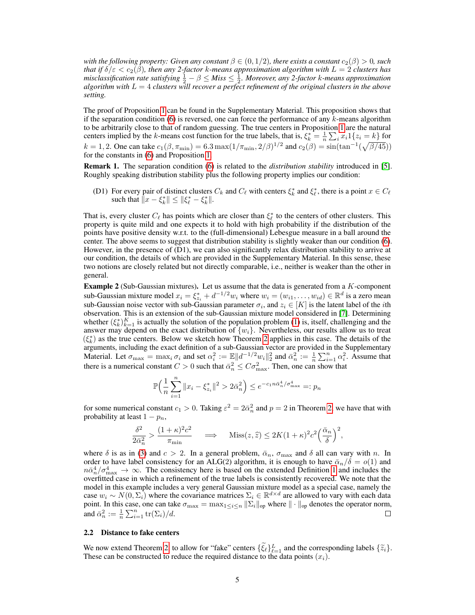*with the following property: Given any constant*  $\beta \in (0, 1/2)$ *, there exists a constant*  $c_2(\beta) > 0$ *, such that if*  $\delta/\varepsilon < c_2(\beta)$ , then any 2-factor k-means approximation algorithm with  $L=2$  clusters has *misclassification rate satisfying*  $\frac{1}{2} - \beta \leq M$ *iss*  $\leq \frac{1}{2}$ *. Moreover, any 2-factor k-means approximation algorithm with*  $L = 4$  *clusters will recover a perfect refinement of the original clusters in the above setting.*

The proof of Proposition [1](#page-3-4) can be found in the Supplementary Material. This proposition shows that if the separation condition  $(6)$  is reversed, one can force the performance of any k-means algorithm to be arbitrarily close to that of random guessing. The true centers in Proposition [1](#page-3-4) are the natural centers implied by the k-means cost function for the true labels, that is,  $\xi_k^* = \frac{1}{n} \sum_i x_i 1\{z_i = k\}$  for  $k = 1, 2$ . One can take  $c_1(\beta, \pi_{\min}) = 6.3 \max(1/\pi_{\min}, 2/\beta)^{1/2}$  and  $c_2(\beta) = \sin(\tan^{-1}(\sqrt{\beta/45}))$ for the constants in [\(6\)](#page-3-3) and Proposition [1.](#page-3-4)

<span id="page-4-0"></span>Remark 1. The separation condition [\(6\)](#page-3-3) is related to the *distribution stability* introduced in [\[5\]](#page-10-15). Roughly speaking distribution stability plus the following property implies our condition:

(D1) For every pair of distinct clusters  $C_k$  and  $C_\ell$  with centers  $\xi_k^*$  and  $\xi_\ell^*$ , there is a point  $x \in C_\ell$ such that  $\|\hat{x} - \xi_k^*\| \leq \|\xi_\ell^* - \xi_k^*\|.$ 

That is, every cluster  $C_\ell$  has points which are closer than  $\xi_\ell^*$  to the centers of other clusters. This property is quite mild and one expects it to hold with high probability if the distribution of the points have positive density w.r.t. to the (full-dimensional) Lebesgue measure in a ball around the center. The above seems to suggest that distribution stability is slightly weaker than our condition [\(6\)](#page-3-3). However, in the presence of  $(D1)$ , we can also significantly relax distribution stability to arrive at our condition, the details of which are provided in the Supplementary Material. In this sense, these two notions are closely related but not directly comparable, i.e., neither is weaker than the other in general.

<span id="page-4-1"></span>**Example 2** (Sub-Gaussian mixtures). Let us assume that the data is generated from a  $K$ -component sub-Gaussian mixture model  $x_i = \xi_{z_i}^* + d^{-1/2} w_i$  where  $w_i = (w_{i1}, \dots, w_{id}) \in \mathbb{R}^d$  is a zero mean sub-Gaussian noise vector with sub-Gaussian parameter  $\sigma_i$ , and  $z_i \in [K]$  is the latent label of the *i*th observation. This is an extension of the sub-Gaussian mixture model considered in [\[7\]](#page-10-16). Determining whether  $(\xi_k^*)_{k=1}^K$  is actually the solution of the population problem [\(1\)](#page-0-0) is, itself, challenging and the answer may depend on the exact distribution of  $\{w_i\}$ . Nevertheless, our results allow us to treat  $(\xi_k^*)$  as the true centers. Below we sketch how Theorem [2](#page-3-2) applies in this case. The details of the  $k_{s,k}$  as the true centers. Below we sketch now Theorem 2 applies in this case. The details of the arguments, including the exact definition of a sub-Gaussian vector are provided in the Supplementary Material. Let  $\sigma_{\max} = \max_i \sigma_i$  and set  $\alpha_i^2 := \mathbb{E} ||d^{-1/2}w_i||_2^2$  and  $\bar{\alpha}_n^2 := \frac{1}{n} \sum_{i=1}^n \alpha_i^2$ . Assume that there is a numerical constant  $C > 0$  such that  $\bar{\alpha}_n^2 \leq C \sigma_{\text{max}}^2$ . Then, one can show that

$$
\mathbb{P}\Big(\frac{1}{n}\sum_{i=1}^{n}||x_i - \xi_{z_i}^*||^2 > 2\bar{\alpha}_n^2\Big) \le e^{-c_1 n \bar{\alpha}_n^4 / \sigma_{\max}^4} =: p_n
$$

for some numerical constant  $c_1 > 0$ . Taking  $\varepsilon^2 = 2\bar{\alpha}_n^2$  and  $p = 2$  in Theorem [2,](#page-3-2) we have that with probability at least  $1 - p_n$ ,

$$
\frac{\delta^2}{2\bar{\alpha}_n^2} > \frac{(1+\kappa)^2 c^2}{\pi_{\min}} \quad \implies \quad \text{Miss}(z,\hat{z}) \le 2K(1+\kappa)^2 c^2 \left(\frac{\bar{\alpha}_n}{\delta}\right)^2,
$$

where  $\delta$  is as in [\(3\)](#page-3-1) and  $c > 2$ . In a general problem,  $\bar{\alpha}_n$ ,  $\sigma_{\text{max}}$  and  $\delta$  all can vary with n. In order to have label consistency for an ALG(2) algorithm, it is enough to have  $\bar{\alpha}_n/\delta = o(1)$  and  $n\bar{\alpha}_n^4/\sigma_{\max}^4 \to \infty$ . The consistency here is based on the extended Definition [1](#page-2-1) and includes the overfitted case in which a refinement of the true labels is consistently recovered. We note that the model in this example includes a very general Gaussian mixture model as a special case, namely the case  $w_i \sim N(0, \Sigma_i)$  where the covariance matrices  $\Sigma_i \in \mathbb{R}^{d \times d}$  are allowed to vary with each data point. In this case, one can take  $\sigma_{\max} = \max_{1 \leq i \leq n} ||\Sigma_i||_{op}$  where  $|| \cdot ||_{op}$  denotes the operator norm, and  $\bar{\alpha}_n^2 := \frac{1}{n} \sum_{i=1}^n \text{tr}(\Sigma_i)/d$ .

#### 2.2 Distance to fake centers

We now extend Theorem [2,](#page-3-2) to allow for "fake" centers  $\{\tilde{\zeta}_{\ell}\}_{\ell=1}^{L}$  and the corresponding labels  $\{\tilde{z}_{i}\}.$ <br>These can be constructed to reduce the required distance to the data points  $(x_i)$ These can be constructed to reduce the required distance to the data points  $(x_i)$ .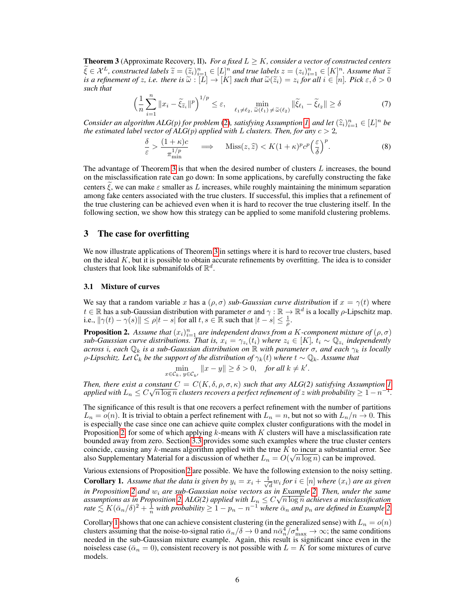<span id="page-5-1"></span>**Theorem 3** (Approximate Recovery, II). *For a fixed*  $L \geq K$ *, consider a vector of constructed centers*  $\widetilde{\xi} \in \mathcal{X}^L$ , constructed labels  $\widetilde{z} = (\widetilde{z}_i)_{i=1}^n \in [L]^n$  and true labels  $z = (z_i)_{i=1}^n \in [K]^n$ . Assume that  $\widetilde{z}$  is a refinement of z i.e., there is  $\widetilde{\omega} : [L] \to [K]$  such that  $\widetilde{\omega}(\widetilde{z}_i) = z$ , *is a refinement of z, i.e. there is*  $\widetilde{\omega} : [L] \to [K]$  *such that*  $\widetilde{\omega}(\widetilde{z}_i) = z_i$  for all  $i \in [n]$ . Pick  $\varepsilon, \delta > 0$  such that *such that*

$$
\left(\frac{1}{n}\sum_{i=1}^{n} \|x_i - \tilde{\xi}_{\tilde{z}_i}\|^p\right)^{1/p} \le \varepsilon, \quad \min_{\ell_1 \neq \ell_2, \ \tilde{\omega}(\ell_1) \neq \tilde{\omega}(\ell_2)} \|\tilde{\xi}_{\ell_1} - \tilde{\xi}_{\ell_2}\| \ge \delta \tag{7}
$$

*Consider an algorithm ALG(p) for problem* [\(2\)](#page-0-1)*, satisfying Assumption [1,](#page-2-0) and let*  $(\hat{z}_i)_{i=1}^n \in [L]^n$  *be* the estimated label vector of ALG(n) annlied with L clusters. Then, for any  $c > 2$ *the estimated label vector of ALG(p) applied with* L *clusters. Then, for any*  $c > 2$ *,* 

<span id="page-5-5"></span><span id="page-5-4"></span>
$$
\frac{\delta}{\varepsilon} > \frac{(1+\kappa)c}{\pi_{\min}^{1/p}} \quad \implies \quad \text{Miss}(z,\hat{z}) < K(1+\kappa)^p c^p \left(\frac{\varepsilon}{\delta}\right)^p. \tag{8}
$$

The advantage of Theorem [3](#page-5-1) is that when the desired number of clusters  $L$  increases, the bound on the misclassification rate can go down: In some applications, by carefully constructing the fake centers  $\xi$ , we can make  $\varepsilon$  smaller as L increases, while roughly maintaining the minimum separation among fake centers associated with the true clusters. If successful, this implies that a refinement of the true clustering can be achieved even when it is hard to recover the true clustering itself. In the following section, we show how this strategy can be applied to some manifold clustering problems.

#### <span id="page-5-0"></span>3 The case for overfitting

We now illustrate applications of Theorem [3](#page-5-1) in settings where it is hard to recover true clusters, based on the ideal  $K$ , but it is possible to obtain accurate refinements by overfitting. The idea is to consider clusters that look like submanifolds of  $\mathbb{R}^d$ .

#### 3.1 Mixture of curves

We say that a random variable x has a  $(\rho, \sigma)$  *sub-Gaussian curve distribution* if  $x = \gamma(t)$  where  $t \in \mathbb{R}$  has a sub-Gaussian distribution with parameter  $\sigma$  and  $\gamma : \mathbb{R} \to \mathbb{R}^d$  is a locally  $\rho$ -Lipschitz map. i.e.,  $\|\gamma(t) - \gamma(s)\| \le \rho |t - s|$  for all  $t, s \in \mathbb{R}$  such that  $|t - s| \le \frac{1}{\rho}$ .

<span id="page-5-2"></span>**Proposition 2.** Assume that  $(x_i)_{i=1}^n$  are independent draws from a K-component mixture of  $(\rho, \sigma)$  $sub$ -Gaussian curve distributions. That is,  $x_i = \gamma_{z_i}(t_i)$  where  $z_i \in [K]$ ,  $t_i \sim \mathbb{Q}_{z_i}$  independently *across* i*, each* Q<sup>k</sup> *is a sub-Gaussian distribution on* R *with parameter* σ*, and each* γ<sup>k</sup> *is locally ρ*-Lipschitz. Let  $C_k$  be the support of the distribution of  $\gamma_k(t)$  where  $t \sim \mathbb{Q}_k$ . Assume that

$$
\min_{x\in\mathcal{C}_k,\ y\in\mathcal{C}_{k'}} \|x-y\|\geq \delta>0,\quad \textit{for all } k\neq k'.
$$

*Then, there exist a constant*  $C = C(K, \delta, \rho, \sigma, \kappa)$  *such that any ALG(2) satisfying Assumption* [1](#page-2-0) applied with  $L_n \leq C \sqrt{n \log n}$  clusters recovers a perfect refinement of  $z$  with probability  $\geq 1-n^{-1}$ .

The significance of this result is that one recovers a perfect refinement with the number of partitions  $L_n = o(n)$ . It is trivial to obtain a perfect refinement with  $L_n = n$ , but not so with  $L_n/n \to 0$ . This is especially the case since one can achieve quite complex cluster configurations with the model in Proposition [2,](#page-5-2) for some of which applying  $k$ -means with  $K$  clusters will have a misclassification rate bounded away from zero. Section [3.3](#page-6-0) provides some such examples where the true cluster centers coincide, causing any k-means algorithm applied with the true  $K$  to incur a substantial error. See also Supplementary Material for a discussion of whether  $L_n = O(\sqrt{n \log n})$  can be improved.

<span id="page-5-3"></span>Various extensions of Proposition [2](#page-5-2) are possible. We have the following extension to the noisy setting. **Corollary 1.** Assume that the data is given by  $y_i = x_i + \frac{1}{\sqrt{d}} w_i$  for  $i \in [n]$  where  $(x_i)$  are as given  $\frac{d}{dx}$  are sub-Gaussian noise vectors as in Example [2](#page-5-2). Then, under the same<br>in Proposition 2 and  $w_i$  are sub-Gaussian noise vectors as in Example [2.](#page-4-1) Then, under the same *an Proposition 2 and w<sub>i</sub> are sub-Gaussian noise vectors as in Example 2. Then, under the same* assumptions as in Proposition [2,](#page-5-2) ALG(2) applied with  $L_n \leq C \sqrt{n \log n}$  achieves a misclassification  $r$ ate  $\leq K(\bar{\alpha}_n/\delta)^2 + \frac{1}{n}$  with probability  $\geq 1 - p_n - n^{-1}$  where  $\bar{\alpha}_n$  and  $p_n$  are defined in Example [2.](#page-4-1)

Corollary [1](#page-5-3) shows that one can achieve consistent clustering (in the generalized sense) with  $L_n = o(n)$ clusters assuming that the noise-to-signal ratio  $\bar{\alpha}_n/\delta \to 0$  and  $n\bar{\alpha}_n^4/\sigma_{\max}^4 \to \infty$ ; the same conditions needed in the sub-Gaussian mixture example. Again, this result is significant since even in the noiseless case ( $\bar{\alpha}_n = 0$ ), consistent recovery is not possible with  $L = K$  for some mixtures of curve models.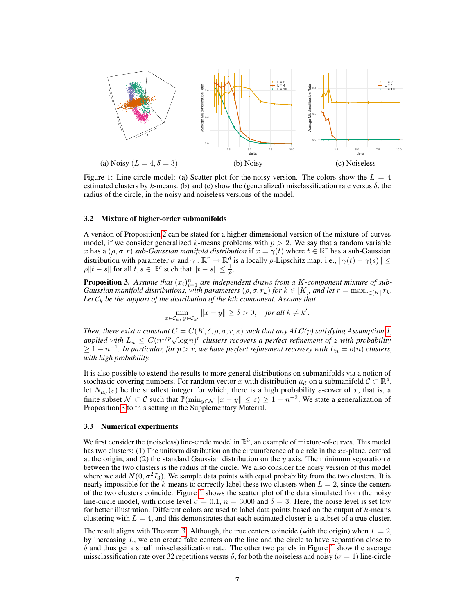

<span id="page-6-2"></span>Figure 1: Line-circle model: (a) Scatter plot for the noisy version. The colors show the  $L = 4$ estimated clusters by k-means. (b) and (c) show the (generalized) misclassification rate versus  $\delta$ , the radius of the circle, in the noisy and noiseless versions of the model.

#### 3.2 Mixture of higher-order submanifolds

A version of Proposition [2](#page-5-2) can be stated for a higher-dimensional version of the mixture-of-curves model, if we consider generalized k-means problems with  $p > 2$ . We say that a random variable x has a  $(\rho, \sigma, r)$  *sub-Gaussian manifold distribution* if  $x = \gamma(t)$  where  $t \in \mathbb{R}^r$  has a sub-Gaussian distribution with parameter  $\sigma$  and  $\gamma : \mathbb{R}^r \to \mathbb{R}^d$  is a locally  $\rho$ -Lipschitz map. i.e.,  $\|\gamma(t) - \gamma(s)\| \le$  $\rho || t - s ||$  for all  $t, s \in \mathbb{R}^r$  such that  $||t - s|| \leq \frac{1}{\rho}$ .

<span id="page-6-1"></span>**Proposition 3.** Assume that  $(x_i)_{i=1}^n$  are independent draws from a K-component mixture of sub-*Gaussian manifold distributions, with parameters*  $(\rho, \sigma, r_k)$  *for*  $k \in [K]$ *, and let*  $r = \max_{r \in [K]} r_k$ *.* Let  $\mathcal{C}_k$  be the support of the distribution of the kth component. Assume that

$$
\min_{x \in \mathcal{C}_k, y \in \mathcal{C}_{k'}} \|x - y\| \ge \delta > 0, \quad \text{for all } k \ne k'.
$$

*Then, there exist a constant*  $C = C(K, \delta, \rho, \sigma, r, \kappa)$  *such that any ALG(p) satisfying Assumption [1,](#page-2-0) applied with*  $L_n \leq C(n^{1/p}\sqrt{\log n})^r$  clusters recovers a perfect refinement of z with probability  $\geq 1-n^{-1}$ . In particular, for  $p>r$ , we have perfect refinement recovery with  $L_n = o(n)$  clusters, *with high probability.*

It is also possible to extend the results to more general distributions on submanifolds via a notion of stochastic covering numbers. For random vector x with distribution  $\mu_c$  on a submanifold  $C \subset \mathbb{R}^d$ , let  $N_{\mu_c}(\varepsilon)$  be the smallest integer for which, there is a high probability  $\varepsilon$ -cover of x, that is, a finite subset  $\mathcal{N} \subset \mathcal{C}$  such that  $\mathbb{P}(\min_{y \in \mathcal{N}} \|x - y\| \leq \varepsilon) \geq 1 - n^{-2}$ . We state a generalization of Proposition [3](#page-6-1) to this setting in the Supplementary Material.

## <span id="page-6-0"></span>3.3 Numerical experiments

We first consider the (noiseless) line-circle model in  $\mathbb{R}^3$ , an example of mixture-of-curves. This model has two clusters: (1) The uniform distribution on the circumference of a circle in the xz-plane, centred at the origin, and (2) the standard Gaussian distribution on the y axis. The minimum separation  $\delta$ between the two clusters is the radius of the circle. We also consider the noisy version of this model where we add  $N(0, \sigma^2 I_3)$ . We sample data points with equal probability from the two clusters. It is nearly impossible for the k-means to correctly label these two clusters when  $L = 2$ , since the centers of the two clusters coincide. Figure [1](#page-6-2) shows the scatter plot of the data simulated from the noisy line-circle model, with noise level  $\sigma = 0.1$ ,  $n = 3000$  and  $\delta = 3$ . Here, the noise level is set low for better illustration. Different colors are used to label data points based on the output of  $k$ -means clustering with  $L = 4$ , and this demonstrates that each estimated cluster is a subset of a true cluster.

The result aligns with Theorem [3.](#page-5-1) Although, the true centers coincide (with the origin) when  $L = 2$ , by increasing L, we can create fake centers on the line and the circle to have separation close to  $\delta$  and thus get a small missclassification rate. The other two panels in Figure [1](#page-6-2) show the average missclassification rate over 32 repetitions versus  $\delta$ , for both the noiseless and noisy ( $\sigma = 1$ ) line-circle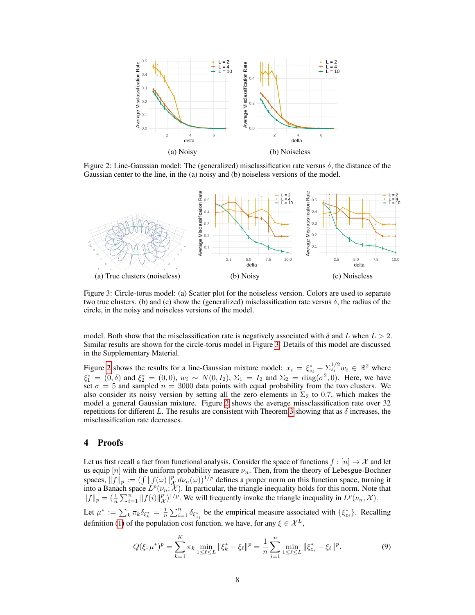<span id="page-7-1"></span>

Figure 2: Line-Gaussian model: The (generalized) misclassification rate versus  $\delta$ , the distance of the Gaussian center to the line, in the (a) noisy and (b) noiseless versions of the model.



<span id="page-7-0"></span>Figure 3: Circle-torus model: (a) Scatter plot for the noiseless version. Colors are used to separate two true clusters. (b) and (c) show the (generalized) misclassification rate versus  $\delta$ , the radius of the circle, in the noisy and noiseless versions of the model.

model. Both show that the misclassification rate is negatively associated with  $\delta$  and L when  $L > 2$ . Similar results are shown for the circle-torus model in Figure [3.](#page-7-0) Details of this model are discussed in the Supplementary Material.

Figure [2](#page-7-1) shows the results for a line-Gaussian mixture model:  $x_i = \xi_{z_i}^* + \sum_{i=1}^{1/2} w_i \in \mathbb{R}^2$  where  $\xi_1^* = (0, \delta)$  and  $\xi_2^* = (0, 0), w_i \sim N(0, I_2), \Sigma_1 = I_2$  and  $\Sigma_2 = \text{diag}(\sigma^2, 0)$ . Here, we have set  $\sigma = 5$  and sampled  $n = 3000$  data points with equal probability from the two clusters. We also consider its noisy version by setting all the zero elements in  $\Sigma_2$  to 0.7, which makes the model a general Gaussian mixture. Figure [2](#page-7-1) shows the average missclassification rate over 32 repetitions for different L. The results are consistent with Theorem [3](#page-5-1) showing that as  $\delta$  increases, the misclassification rate decreases.

# 4 Proofs

Let us first recall a fact from functional analysis. Consider the space of functions  $f : [n] \to \mathcal{X}$  and let us equip  $[n]$  with the uniform probability measure  $\nu_n$ . Then, from the theory of Lebesgue-Bochner spaces,  $||f||_p := (\int ||f(\omega)||_X^p d\nu_n(\omega))^{1/p}$  defines a proper norm on this function space, turning it into a Banach space  $L^p(\nu_n; \mathcal{X})$ . In particular, the triangle inequality holds for this norm. Note that  $||f||_p = (\frac{1}{n} \sum_{i=1}^n ||f(i)||_{\mathcal{X}}^p)^{1/p}$ . We will frequently invoke the triangle inequality in  $L^p(\nu_n, \mathcal{X})$ .

Let  $\mu^* := \sum_k \pi_k \delta_{\xi^*_k} = \frac{1}{n} \sum_{i=1}^n \delta_{\xi^*_{z_i}}$  be the empirical measure associated with  $\{\xi^*_{z_i}\}\$ . Recalling definition [\(1\)](#page-0-0) of the population cost function, we have, for any  $\xi \in \mathcal{X}^L$ ,

$$
Q(\xi; \mu^*)^p = \sum_{k=1}^K \pi_k \min_{1 \le \ell \le L} \|\xi_k^* - \xi_\ell\|^p = \frac{1}{n} \sum_{i=1}^n \min_{1 \le \ell \le L} \|\xi_{z_i}^* - \xi_\ell\|^p. \tag{9}
$$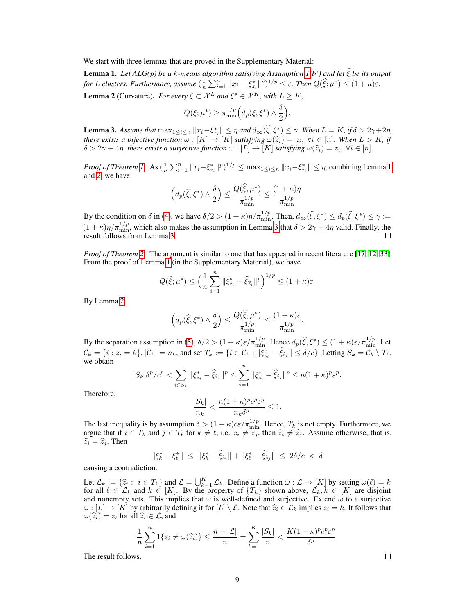We start with three lemmas that are proved in the Supplementary Material:

<span id="page-8-1"></span><span id="page-8-0"></span>Lemma 1. *Let ALG(*p*) be a* <sup>k</sup>*-means algorithm satisfying Assumption [1\(](#page-2-0)b') and let* <sup>ξ</sup>b*be its output for L clusters. Furthermore, assume*  $\left(\frac{1}{n}\sum_{i=1}^{n}||x_i - \xi_{z_i}^*||^p\right)^{1/p} \leq \varepsilon$ . *Then*  $Q(\hat{\xi}; \mu^*) \leq (1 + \kappa)\varepsilon$ . **Lemma 2** (Curvature). *For every*  $\xi \subset \mathcal{X}^L$  *and*  $\xi^* \in \mathcal{X}^K$ *, with*  $L \geq K$ *,* 

$$
Q(\xi; \mu^*) \ge \pi_{\min}^{1/p} \Big( d_p(\xi, \xi^*) \wedge \frac{\delta}{2} \Big).
$$

<span id="page-8-2"></span>**Lemma 3.** Assume that  $\max_{1 \leq i \leq n} \|x_i - \xi_{z_i}^*\| \leq \eta$  and  $d_\infty(\hat{\xi}, \xi^*) \leq \gamma$ . When  $L = K$ , if  $\delta > 2\gamma + 2\eta$ , *there exists a bijective function*  $\omega : [K] \to [K]$  *satisfying*  $\omega(\hat{z}_i) = z_i$ ,  $\forall i \in [n]$ *. When*  $L > K$ *, if*  $\delta > 2\gamma + 4n$  *there exists a surjective function*  $\omega : [L] \to [K]$  *satisfying*  $\omega(\hat{z}_i) = z_i$ ,  $\forall i \in [n]$  $\delta > 2\gamma + 4\eta$ , there exists a surjective function  $\omega : [L] \to [K]$  satisfying  $\omega(\widehat{z}_i) = z_i$ ,  $\forall i \in [n]$ .

*Proof of Theorem [1.](#page-3-0)* As  $\left(\frac{1}{n}\sum_{i=1}^{n} ||x_i-\xi_{z_i}^*||^p\right)^{1/p} \leq \max_{1 \leq i \leq n} ||x_i-\xi_{z_i}^*|| \leq \eta$ , combining Lemma [1](#page-8-0) and [2,](#page-8-1) we have

$$
\Big(d_p(\widehat{\xi},\xi^*)\wedge\frac{\delta}{2}\Big)\leq \frac{Q(\widehat{\xi},\mu^*)}{\pi_{\min}^{1/p}}\leq \frac{(1+\kappa)\eta}{\pi_{\min}^{1/p}}.
$$

By the condition on  $\delta$  in [\(4\)](#page-3-5), we have  $\delta/2 > (1 + \kappa)\eta/\pi_{\min}^{1/p}$ . Then,  $d_{\infty}(\widehat{\xi}, \xi^*) \leq d_p(\widehat{\xi}, \xi^*) \leq \gamma :=$  $(1 + \kappa)\eta/\pi_{\min}^{1/p}$ , which also makes the assumption in Lemma [3](#page-8-2) that  $\delta > 2\gamma + 4\eta$  valid. Finally, the result follows from Lemma [3.](#page-8-2)

*Proof of Theorem [2.](#page-3-2)* The argument is similar to one that has appeared in recent literature [\[17,](#page-10-17) [12,](#page-10-18) [33\]](#page-11-10). From the proof of Lemma [1](#page-8-0) (in the Supplementary Material), we have

$$
Q(\widehat{\xi};\mu^*) \leq \left(\frac{1}{n}\sum_{i=1}^n \|\xi^*_{z_i} - \widehat{\xi}_{\widehat{z}_i}\|^p\right)^{1/p} \leq (1+\kappa)\varepsilon.
$$

By Lemma [2](#page-8-1)

$$
\left(d_p(\widehat{\xi},\xi^*)\wedge\frac{\delta}{2}\right)\leq \frac{Q(\widehat{\xi},\mu^*)}{\pi_{\min}^{1/p}}\leq \frac{(1+\kappa)\varepsilon}{\pi_{\min}^{1/p}}.
$$

By the separation assumption in [\(5\)](#page-3-6),  $\delta/2 > (1 + \kappa)\varepsilon/\pi_{\min}^{1/p}$ . Hence  $d_p(\hat{\xi}, \xi^*) \le (1 + \kappa)\varepsilon/\pi_{\min}^{1/p}$ . Let  $\mathcal{C}_k = \{i : z_i = k\}, |\mathcal{C}_k| = n_k$ , and set  $T_k := \{i \in \mathcal{C}_k : ||\xi_{z_i}^* - \widehat{\xi}_{\widehat{z}_i}|| \le \delta/c\}$ . Letting  $S_k = \mathcal{C}_k \setminus T_k$ , we obtain

$$
|S_k|\delta^p/c^p < \sum_{i \in S_k} ||\xi_{z_i}^* - \hat{\xi}_{\widehat{z}_i}||^p \le \sum_{i=1}^n ||\xi_{z_i}^* - \hat{\xi}_{\widehat{z}_i}||^p \le n(1+\kappa)^p \varepsilon^p.
$$

Therefore,

$$
\frac{|S_k|}{n_k} < \frac{n(1+\kappa)^pc^p\varepsilon^p}{n_k\delta^p} \le 1.
$$

The last inequality is by assumption  $\delta > (1 + \kappa)c\epsilon/\pi_{\min}^{1/p}$ . Hence,  $T_k$  is not empty. Furthermore, we argue that if  $i \in T_k$  and  $j \in T_\ell$  for  $k \neq \ell$ , i.e.  $z_i \neq z_j$ , then  $\hat{z}_i \neq \hat{z}_j$ . Assume otherwise, that is,  $\hat{z}_i - \hat{z}_j$ . Then  $\widehat{z}_i = \widehat{z}_j$ . Then

$$
\|\xi_k^* - \xi_{\ell}^*\| \leq \|\xi_k^* - \widehat{\xi}_{\widehat{z}_i}\| + \|\xi_{\ell}^* - \widehat{\xi}_{\widehat{z}_j}\| \leq 2\delta/c < \delta
$$

causing a contradiction.

Let  $\mathcal{L}_k := \{\hat{z}_i : i \in T_k\}$  and  $\mathcal{L} = \bigcup_{k=1}^K \mathcal{L}_k$ . Define a function  $\omega : \mathcal{L} \to [K]$  by setting  $\omega(\ell) = k$  for all  $\ell \in \mathcal{L}_k$  and  $k \in [K]$ . By the property of  $\{T_k\}$  shown above  $\mathcal{L}_k \in [K]$  are disjoint for all  $\ell \in \mathcal{L}_k$  and  $k \in [K]$ . By the property of  $\{T_k\}$  shown above,  $\mathcal{L}_k, k \in [K]$  are disjoint and nonempty sets. This implies that  $\omega$  is well-defined and surjective. Extend  $\omega$  to a surjective  $\omega : [L] \to [K]$  by arbitrarily defining it for  $[L] \setminus \mathcal{L}$ . Note that  $\widehat{z}_i \in \mathcal{L}_k$  implies  $z_i = k$ . It follows that  $\omega(\hat{z}_i) = z_i$  for all  $\hat{z}_i \in \mathcal{L}$ , and

$$
\frac{1}{n}\sum_{i=1}^{n}1\{z_i\neq \omega(\widehat{z}_i)\}\leq \frac{n-|\mathcal{L}|}{n}=\sum_{k=1}^{K}\frac{|S_k|}{n}<\frac{K(1+\kappa)^{p}c^p\varepsilon^p}{\delta^p}
$$

The result follows.

.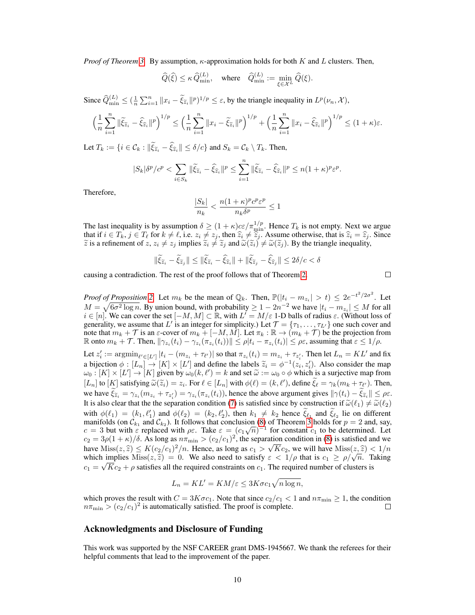*Proof of Theorem [3.](#page-5-1)* By assumption,  $\kappa$ -approximation holds for both K and L clusters. Then,

$$
\widehat{Q}(\widehat{\xi}) \leq \kappa\, \widehat{Q}^{(L)}_{\text{min}}, \quad \text{where} \quad \widehat{Q}^{(L)}_{\text{min}} := \min_{\xi \in \mathcal{X}^L} \widehat{Q}(\xi).
$$

Since  $\widehat{Q}_{\min}^{(L)} \leq (\frac{1}{n} \sum_{i=1}^{n} ||x_i - \widetilde{\xi}_{\widetilde{z}_i}||^p)^{1/p} \leq \varepsilon$ , by the triangle inequality in  $L^p(\nu_n, \mathcal{X})$ ,

$$
\left(\frac{1}{n}\sum_{i=1}^n\|\tilde{\xi}_{\tilde{z}_i}-\hat{\xi}_{\hat{z}_i}\|^p\right)^{1/p}\leq \left(\frac{1}{n}\sum_{i=1}^n\|x_i-\tilde{\xi}_{\tilde{z}_i}\|^p\right)^{1/p}+\left(\frac{1}{n}\sum_{i=1}^n\|x_i-\hat{\xi}_{\hat{z}_i}\|^p\right)^{1/p}\leq (1+\kappa)\varepsilon.
$$

Let  $T_k := \{i \in \mathcal{C}_k : ||\xi_{\widetilde{z}_i} - \xi_{\widehat{z}_i}|| \le \delta/c\}$  and  $S_k = \mathcal{C}_k \setminus T_k$ . Then,

$$
|S_k|\delta^p/c^p < \sum_{i \in S_k} \|\widetilde{\xi}_{\widetilde{z}_i} - \widehat{\xi}_{\widehat{z}_i}\|^p \le \sum_{i=1}^n \|\widetilde{\xi}_{\widetilde{z}_i} - \widehat{\xi}_{\widehat{z}_i}\|^p \le n(1+\kappa)^p \varepsilon^p.
$$

Therefore,

$$
\frac{|S_k|}{n_k} < \frac{n(1+\kappa)^pc^p\varepsilon^p}{n_k\delta^p} \leq 1
$$

The last inequality is by assumption  $\delta \ge (1 + \kappa)c\epsilon/\pi_{\min}^{1/p}$ . Hence  $T_k$  is not empty. Next we argue that if  $i \in T_k$ ,  $j \in T_\ell$  for  $k \neq \ell$ , i.e.  $z_i \neq z_j$ , then  $\hat{z}_i \neq \hat{z}_j$ . Assume otherwise, that is  $\hat{z}_i = \hat{z}_j$ . Since  $\tilde{z}_i$  is a refinement of  $z \times \ell \times j$  implies  $\tilde{z}_i \neq \tilde{z}_j$  and  $\tilde{\omega}(\tilde{z}_i) \neq \til$  $\tilde{z}$  is a refinement of  $z, z_i \neq z_j$  implies  $\tilde{z}_i \neq \tilde{z}_j$  and  $\tilde{\omega}(\tilde{z}_i) \neq \tilde{\omega}(\tilde{z}_j)$ . By the triangle inequality,

$$
\|\tilde{\xi}_{\tilde{z}_i} - \tilde{\xi}_{\tilde{z}_j}\| \le \|\tilde{\xi}_{\tilde{z}_i} - \hat{\xi}_{\hat{z}_i}\| + \|\tilde{\xi}_{\tilde{z}_j} - \hat{\xi}_{\hat{z}_j}\| \le 2\delta/c < \delta
$$

causing a contradiction. The rest of the proof follows that of Theorem [2.](#page-3-2)

 $\Box$ 

*Proof of Proposition* [2.](#page-5-2) Let  $m_k$  be the mean of  $\mathbb{Q}_k$ . Then,  $\mathbb{P}(|t_i - m_{z_i}| > t) \leq 2e^{-t^2/2\sigma^2}$ . Let  $M = \sqrt{6\sigma^2 \log n}$ . By union bound, with probability  $\ge 1 - 2n^{-2}$  we have  $|t_i - m_{z_i}| \le M$  for all  $i \in [n]$ . We can cover the set  $[-M, M] \subset \mathbb{R}$ , with  $L' = M/\varepsilon$  1-D balls of radius  $\varepsilon$ . (Without loss of generality, we assume that L' is an integer for simplicity.) Let  $\mathcal{T} = \{\tau_1, \dots, \tau_{L'}\}$  one such cover and note that  $m_k + \mathcal{T}$  is an  $\varepsilon$ -cover of  $m_k + [-M, M]$ . Let  $\pi_k : \mathbb{R} \to (m_k + \mathcal{T})$  be the projection from R onto  $m_k + \mathcal{T}$ . Then,  $\|\gamma_{z_i}(t_i) - \gamma_{z_i}(\pi_{z_i}(t_i))\| \leq \rho |t_i - \pi_{z_i}(t_i)| \leq \rho \varepsilon$ , assuming that  $\varepsilon \leq 1/\rho$ .

Let  $z_i' := \operatorname{argmin}_{\ell' \in [L']} |t_i - (m_{z_i} + \tau_{\ell'})|$  so that  $\pi_{z_i}(t_i) = m_{z_i} + \tau_{z_i'}$ . Then let  $L_n = KL'$  and fix a bijection  $\phi : [L_n] \to [K] \times [L']$  and define the labels  $\tilde{z}_i = \phi^{-1}(z_i, z'_i)$ . Also consider the map<br>  $\omega_0 : [K] \times [L'] \to [K]$  given by  $\omega_0 (k, \ell') = k$  and set  $\tilde{\omega} := \omega_0 \circ \phi$  which is a surjective map from  $\omega_0: [K] \times [L'] \rightarrow [K]$  given by  $\omega_0(k, \ell') = k$  and set  $\tilde{\omega} := \omega_0 \circ \phi$  which is a surjective map from  $[L_n]$  to  $[K]$  satisfying  $\widetilde{\omega}(\widetilde{z}_i) = z_i$ . For  $\ell \in [L_n]$  with  $\phi(\ell) = (k, \ell')$ , define  $\widetilde{\xi}_{\ell} = \gamma_k (m_k + \tau_{\ell'})$ . Then, we have  $\xi_{\tilde{z}_i} = \gamma_{z_i} (m_{z_i} + \tau_{z'_i}) = \gamma_{z_i} (\pi_{z_i}(t_i))$ , hence the above argument gives  $\|\gamma(t_i) - \xi_{\tilde{z}_i}\| \le \rho \varepsilon$ . It is also clear that the the separation condition [\(7\)](#page-5-4) is satisfied since by construction if  $\tilde{\omega}(\ell_1) \neq \tilde{\omega}(\ell_2)$ with  $\phi(\ell_1) = (k_1, \ell'_1)$  and  $\phi(\ell_2) = (k_2, \ell'_2)$ , then  $k_1 \neq k_2$  hence  $\xi_{\ell_1}$  and  $\xi_{\ell_2}$  lie on different manifolds (on  $\mathcal{C}_{k_1}$  and  $\mathcal{C}_{k_2}$ ). It follows that conclusion [\(8\)](#page-5-5) of Theorem [3](#page-5-1) holds for  $p = 2$  and, say, manifolds (on  $C_{k_1}$  and  $C_{k_2}$ ). It follows that conclusion (8) of Theorem 3 holds for  $p = 2$  and, say,  $c = 3$  but with  $\varepsilon$  replaced with  $\rho \varepsilon$ . Take  $\varepsilon = (c_1 \sqrt{n})^{-1}$  for constant  $c_1$  to be determined. Let  $c_2 = 3\rho(1+\kappa)/\delta$ . As long as  $n\pi_{\min} > (c_2/c_1)^2$ , the separation condition in [\(8\)](#page-5-5) is satisfied and we have  $\text{Miss}(z, \hat{z}) \le K(c_2/c_1)^2/n$ . Hence, as long as  $c_1 > \sqrt{K}c_2$ , we will have  $\text{Miss}(z, \hat{z}) < 1/n$  which implies  $\text{Miss}(z, \hat{z}) = 0$ . We also need to satisfy  $\epsilon < 1/\rho$  that is  $c_1 \ge \rho/\sqrt{n}$ . Taking  $c_1 = \sqrt{Kc_2 + \rho}$  satisfies all the required constraints on  $c_1$ . The required number of clusters is

$$
L_n = KL' = KM/\varepsilon \le 3K\sigma c_1 \sqrt{n \log n},
$$

which proves the result with  $C = 3K\sigma c_1$ . Note that since  $c_2/c_1 < 1$  and  $n\pi_{\min} \geq 1$ , the condition  $n\pi_{\min}$  >  $(c_2/c_1)^2$  is automatically satisfied. The proof is complete. П

# Acknowledgments and Disclosure of Funding

This work was supported by the NSF CAREER grant DMS-1945667. We thank the referees for their helpful comments that lead to the improvement of the paper.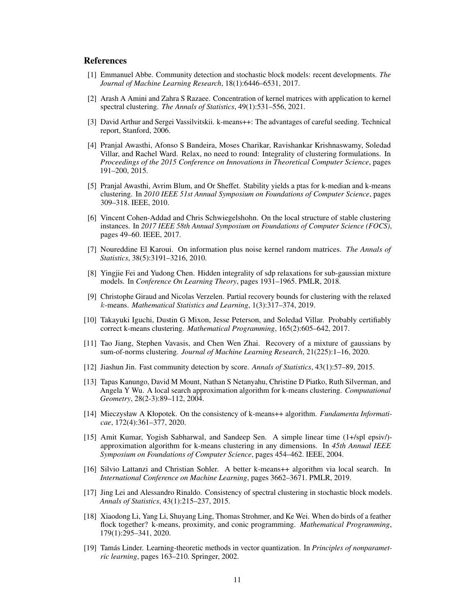## **References**

- <span id="page-10-8"></span>[1] Emmanuel Abbe. Community detection and stochastic block models: recent developments. *The Journal of Machine Learning Research*, 18(1):6446–6531, 2017.
- <span id="page-10-9"></span>[2] Arash A Amini and Zahra S Razaee. Concentration of kernel matrices with application to kernel spectral clustering. *The Annals of Statistics*, 49(1):531–556, 2021.
- <span id="page-10-11"></span>[3] David Arthur and Sergei Vassilvitskii. k-means++: The advantages of careful seeding. Technical report, Stanford, 2006.
- <span id="page-10-2"></span>[4] Pranjal Awasthi, Afonso S Bandeira, Moses Charikar, Ravishankar Krishnaswamy, Soledad Villar, and Rachel Ward. Relax, no need to round: Integrality of clustering formulations. In *Proceedings of the 2015 Conference on Innovations in Theoretical Computer Science*, pages 191–200, 2015.
- <span id="page-10-15"></span>[5] Pranjal Awasthi, Avrim Blum, and Or Sheffet. Stability yields a ptas for k-median and k-means clustering. In *2010 IEEE 51st Annual Symposium on Foundations of Computer Science*, pages 309–318. IEEE, 2010.
- <span id="page-10-10"></span>[6] Vincent Cohen-Addad and Chris Schwiegelshohn. On the local structure of stable clustering instances. In *2017 IEEE 58th Annual Symposium on Foundations of Computer Science (FOCS)*, pages 49–60. IEEE, 2017.
- <span id="page-10-16"></span>[7] Noureddine El Karoui. On information plus noise kernel random matrices. *The Annals of Statistics*, 38(5):3191–3216, 2010.
- <span id="page-10-4"></span>[8] Yingjie Fei and Yudong Chen. Hidden integrality of sdp relaxations for sub-gaussian mixture models. In *Conference On Learning Theory*, pages 1931–1965. PMLR, 2018.
- <span id="page-10-5"></span>[9] Christophe Giraud and Nicolas Verzelen. Partial recovery bounds for clustering with the relaxed k-means. *Mathematical Statistics and Learning*, 1(3):317–374, 2019.
- <span id="page-10-3"></span>[10] Takayuki Iguchi, Dustin G Mixon, Jesse Peterson, and Soledad Villar. Probably certifiably correct k-means clustering. *Mathematical Programming*, 165(2):605–642, 2017.
- <span id="page-10-7"></span>[11] Tao Jiang, Stephen Vavasis, and Chen Wen Zhai. Recovery of a mixture of gaussians by sum-of-norms clustering. *Journal of Machine Learning Research*, 21(225):1–16, 2020.
- <span id="page-10-18"></span>[12] Jiashun Jin. Fast community detection by score. *Annals of Statistics*, 43(1):57–89, 2015.
- <span id="page-10-12"></span>[13] Tapas Kanungo, David M Mount, Nathan S Netanyahu, Christine D Piatko, Ruth Silverman, and Angela Y Wu. A local search approximation algorithm for k-means clustering. *Computational Geometry*, 28(2-3):89–112, 2004.
- <span id="page-10-1"></span>[14] Mieczysław A Kłopotek. On the consistency of k-means++ algorithm. *Fundamenta Informaticae*, 172(4):361–377, 2020.
- <span id="page-10-13"></span>[15] Amit Kumar, Yogish Sabharwal, and Sandeep Sen. A simple linear time (1+/spl epsiv/) approximation algorithm for k-means clustering in any dimensions. In *45th Annual IEEE Symposium on Foundations of Computer Science*, pages 454–462. IEEE, 2004.
- <span id="page-10-14"></span>[16] Silvio Lattanzi and Christian Sohler. A better k-means++ algorithm via local search. In *International Conference on Machine Learning*, pages 3662–3671. PMLR, 2019.
- <span id="page-10-17"></span>[17] Jing Lei and Alessandro Rinaldo. Consistency of spectral clustering in stochastic block models. *Annals of Statistics*, 43(1):215–237, 2015.
- <span id="page-10-6"></span>[18] Xiaodong Li, Yang Li, Shuyang Ling, Thomas Strohmer, and Ke Wei. When do birds of a feather flock together? k-means, proximity, and conic programming. *Mathematical Programming*, 179(1):295–341, 2020.
- <span id="page-10-0"></span>[19] Tamás Linder. Learning-theoretic methods in vector quantization. In *Principles of nonparametric learning*, pages 163–210. Springer, 2002.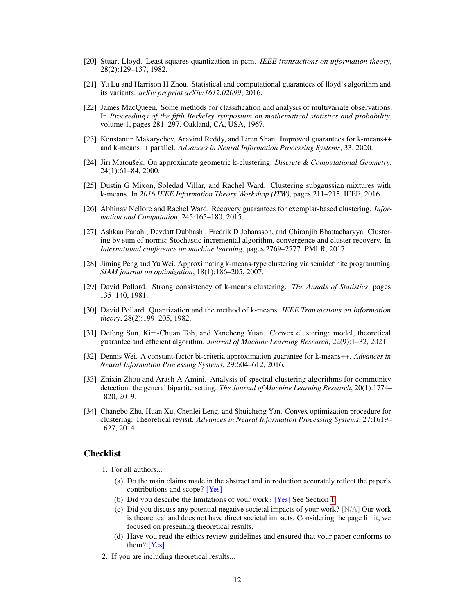- <span id="page-11-4"></span>[20] Stuart Lloyd. Least squares quantization in pcm. *IEEE transactions on information theory*, 28(2):129–137, 1982.
- <span id="page-11-3"></span>[21] Yu Lu and Harrison H Zhou. Statistical and computational guarantees of lloyd's algorithm and its variants. *arXiv preprint arXiv:1612.02099*, 2016.
- <span id="page-11-0"></span>[22] James MacQueen. Some methods for classification and analysis of multivariate observations. In *Proceedings of the fifth Berkeley symposium on mathematical statistics and probability*, volume 1, pages 281–297. Oakland, CA, USA, 1967.
- <span id="page-11-12"></span>[23] Konstantin Makarychev, Aravind Reddy, and Liren Shan. Improved guarantees for k-means++ and k-means++ parallel. *Advances in Neural Information Processing Systems*, 33, 2020.
- <span id="page-11-13"></span>[24] Jirı Matoušek. On approximate geometric k-clustering. *Discrete & Computational Geometry*, 24(1):61–84, 2000.
- <span id="page-11-6"></span>[25] Dustin G Mixon, Soledad Villar, and Rachel Ward. Clustering subgaussian mixtures with k-means. In *2016 IEEE Information Theory Workshop (ITW)*, pages 211–215. IEEE, 2016.
- <span id="page-11-14"></span>[26] Abhinav Nellore and Rachel Ward. Recovery guarantees for exemplar-based clustering. *Information and Computation*, 245:165–180, 2015.
- <span id="page-11-8"></span>[27] Ashkan Panahi, Devdatt Dubhashi, Fredrik D Johansson, and Chiranjib Bhattacharyya. Clustering by sum of norms: Stochastic incremental algorithm, convergence and cluster recovery. In *International conference on machine learning*, pages 2769–2777. PMLR, 2017.
- <span id="page-11-5"></span>[28] Jiming Peng and Yu Wei. Approximating k-means-type clustering via semidefinite programming. *SIAM journal on optimization*, 18(1):186–205, 2007.
- <span id="page-11-1"></span>[29] David Pollard. Strong consistency of k-means clustering. *The Annals of Statistics*, pages 135–140, 1981.
- <span id="page-11-2"></span>[30] David Pollard. Quantization and the method of k-means. *IEEE Transactions on Information theory*, 28(2):199–205, 1982.
- <span id="page-11-9"></span>[31] Defeng Sun, Kim-Chuan Toh, and Yancheng Yuan. Convex clustering: model, theoretical guarantee and efficient algorithm. *Journal of Machine Learning Research*, 22(9):1–32, 2021.
- <span id="page-11-11"></span>[32] Dennis Wei. A constant-factor bi-criteria approximation guarantee for k-means++. *Advances in Neural Information Processing Systems*, 29:604–612, 2016.
- <span id="page-11-10"></span>[33] Zhixin Zhou and Arash A Amini. Analysis of spectral clustering algorithms for community detection: the general bipartite setting. *The Journal of Machine Learning Research*, 20(1):1774– 1820, 2019.
- <span id="page-11-7"></span>[34] Changbo Zhu, Huan Xu, Chenlei Leng, and Shuicheng Yan. Convex optimization procedure for clustering: Theoretical revisit. *Advances in Neural Information Processing Systems*, 27:1619– 1627, 2014.

## **Checklist**

- 1. For all authors...
	- (a) Do the main claims made in the abstract and introduction accurately reflect the paper's contributions and scope? [Yes]
	- (b) Did you describe the limitations of your work? [Yes] See Section [1.](#page-0-2)
	- (c) Did you discuss any potential negative societal impacts of your work? [N/A] Our work is theoretical and does not have direct societal impacts. Considering the page limit, we focused on presenting theoretical results.
	- (d) Have you read the ethics review guidelines and ensured that your paper conforms to them? [Yes]
- 2. If you are including theoretical results...